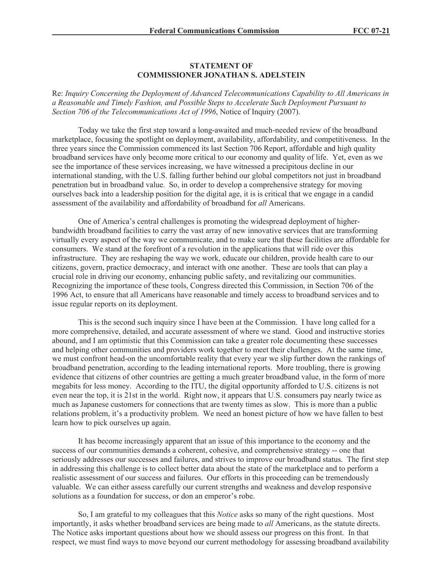## **STATEMENT OF COMMISSIONER JONATHAN S. ADELSTEIN**

Re: *Inquiry Concerning the Deployment of Advanced Telecommunications Capability to All Americans in a Reasonable and Timely Fashion, and Possible Steps to Accelerate Such Deployment Pursuant to Section 706 of the Telecommunications Act of 1996*, Notice of Inquiry (2007).

Today we take the first step toward a long-awaited and much-needed review of the broadband marketplace, focusing the spotlight on deployment, availability, affordability, and competitiveness. In the three years since the Commission commenced its last Section 706 Report, affordable and high quality broadband services have only become more critical to our economy and quality of life. Yet, even as we see the importance of these services increasing, we have witnessed a precipitous decline in our international standing, with the U.S. falling further behind our global competitors not just in broadband penetration but in broadband value. So, in order to develop a comprehensive strategy for moving ourselves back into a leadership position for the digital age, it is is critical that we engage in a candid assessment of the availability and affordability of broadband for *all* Americans.

One of America's central challenges is promoting the widespread deployment of higherbandwidth broadband facilities to carry the vast array of new innovative services that are transforming virtually every aspect of the way we communicate, and to make sure that these facilities are affordable for consumers. We stand at the forefront of a revolution in the applications that will ride over this infrastructure. They are reshaping the way we work, educate our children, provide health care to our citizens, govern, practice democracy, and interact with one another. These are tools that can play a crucial role in driving our economy, enhancing public safety, and revitalizing our communities. Recognizing the importance of these tools, Congress directed this Commission, in Section 706 of the 1996 Act, to ensure that all Americans have reasonable and timely access to broadband services and to issue regular reports on its deployment.

This is the second such inquiry since I have been at the Commission. I have long called for a more comprehensive, detailed, and accurate assessment of where we stand. Good and instructive stories abound, and I am optimistic that this Commission can take a greater role documenting these successes and helping other communities and providers work together to meet their challenges. At the same time, we must confront head-on the uncomfortable reality that every year we slip further down the rankings of broadband penetration, according to the leading international reports. More troubling, there is growing evidence that citizens of other countries are getting a much greater broadband value, in the form of more megabits for less money. According to the ITU, the digital opportunity afforded to U.S. citizens is not even near the top, it is 21st in the world. Right now, it appears that U.S. consumers pay nearly twice as much as Japanese customers for connections that are twenty times as slow. This is more than a public relations problem, it's a productivity problem. We need an honest picture of how we have fallen to best learn how to pick ourselves up again.

It has become increasingly apparent that an issue of this importance to the economy and the success of our communities demands a coherent, cohesive, and comprehensive strategy -- one that seriously addresses our successes and failures, and strives to improve our broadband status. The first step in addressing this challenge is to collect better data about the state of the marketplace and to perform a realistic assessment of our success and failures. Our efforts in this proceeding can be tremendously valuable. We can either assess carefully our current strengths and weakness and develop responsive solutions as a foundation for success, or don an emperor's robe.

So, I am grateful to my colleagues that this *Notice* asks so many of the right questions. Most importantly, it asks whether broadband services are being made to *all* Americans, as the statute directs. The Notice asks important questions about how we should assess our progress on this front. In that respect, we must find ways to move beyond our current methodology for assessing broadband availability